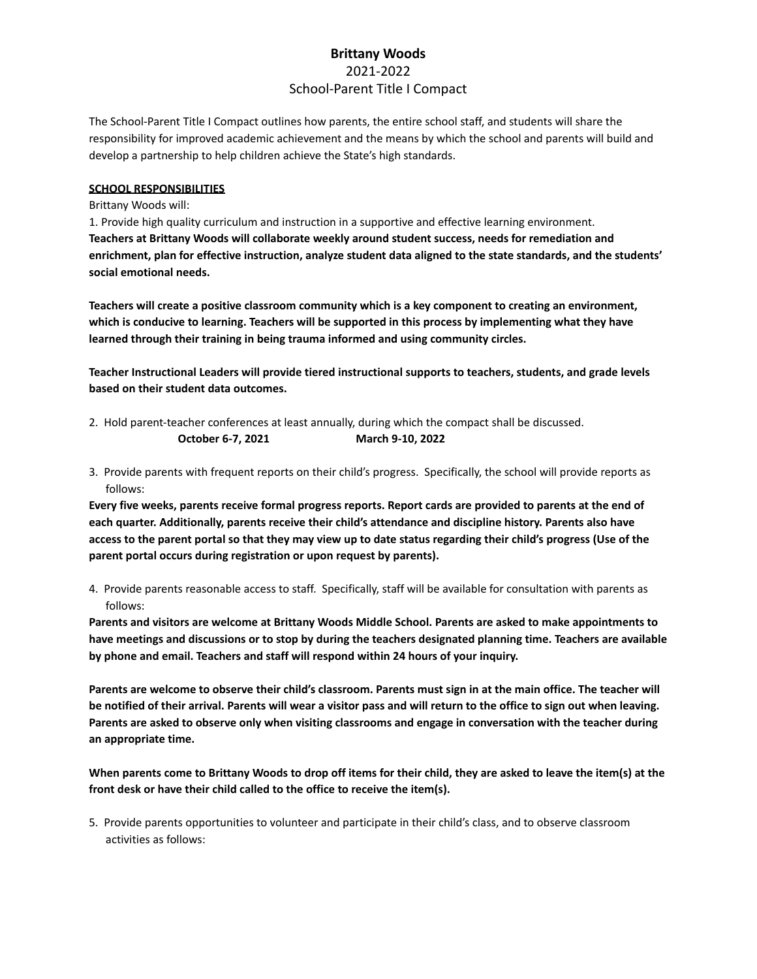# **Brittany Woods** 2021-2022 School-Parent Title I Compact

The School-Parent Title I Compact outlines how parents, the entire school staff, and students will share the responsibility for improved academic achievement and the means by which the school and parents will build and develop a partnership to help children achieve the State's high standards.

# **SCHOOL RESPONSIBILITIES**

# Brittany Woods will:

1. Provide high quality curriculum and instruction in a supportive and effective learning environment. **Teachers at Brittany Woods will collaborate weekly around student success, needs for remediation and** enrichment, plan for effective instruction, analyze student data aligned to the state standards, and the students' **social emotional needs.**

**Teachers will create a positive classroom community which is a key component to creating an environment, which is conducive to learning. Teachers will be supported in this process by implementing what they have learned through their training in being trauma informed and using community circles.**

**Teacher Instructional Leaders will provide tiered instructional supports to teachers, students, and grade levels based on their student data outcomes.**

2. Hold parent-teacher conferences at least annually, during which the compact shall be discussed.

**October 6-7, 2021 March 9-10, 2022**

3. Provide parents with frequent reports on their child's progress. Specifically, the school will provide reports as follows:

Every five weeks, parents receive formal progress reports. Report cards are provided to parents at the end of **each quarter. Additionally, parents receive their child's attendance and discipline history. Parents also have** access to the parent portal so that they may view up to date status regarding their child's progress (Use of the **parent portal occurs during registration or upon request by parents).**

4. Provide parents reasonable access to staff. Specifically, staff will be available for consultation with parents as follows:

Parents and visitors are welcome at Brittany Woods Middle School. Parents are asked to make appointments to have meetings and discussions or to stop by during the teachers designated planning time. Teachers are available **by phone and email. Teachers and staff will respond within 24 hours of your inquiry.**

Parents are welcome to observe their child's classroom. Parents must sign in at the main office. The teacher will be notified of their arrival. Parents will wear a visitor pass and will return to the office to sign out when leaving. Parents are asked to observe only when visiting classrooms and engage in conversation with the teacher during **an appropriate time.**

When parents come to Brittany Woods to drop off items for their child, they are asked to leave the item(s) at the **front desk or have their child called to the office to receive the item(s).**

5. Provide parents opportunities to volunteer and participate in their child's class, and to observe classroom activities as follows: